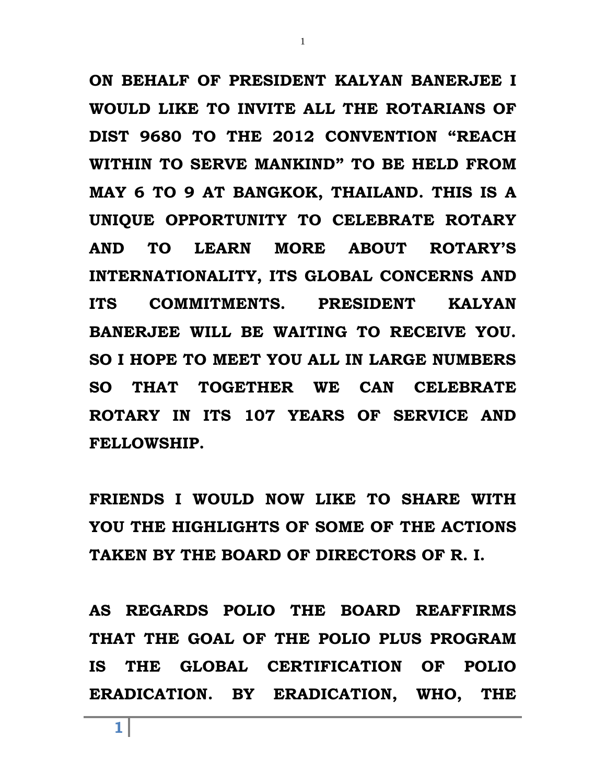**ON BEHALF OF PRESIDENT KALYAN BANERJEE I WOULD LIKE TO INVITE ALL THE ROTARIANS OF DIST 9680 TO THE 2012 CONVENTION "REACH WITHIN TO SERVE MANKIND" TO BE HELD FROM MAY 6 TO 9 AT BANGKOK, THAILAND. THIS IS A UNIQUE OPPORTUNITY TO CELEBRATE ROTARY AND TO LEARN MORE ABOUT ROTARY'S INTERNATIONALITY, ITS GLOBAL CONCERNS AND ITS COMMITMENTS. PRESIDENT KALYAN BANERJEE WILL BE WAITING TO RECEIVE YOU. SO I HOPE TO MEET YOU ALL IN LARGE NUMBERS SO THAT TOGETHER WE CAN CELEBRATE ROTARY IN ITS 107 YEARS OF SERVICE AND FELLOWSHIP.**

1

**FRIENDS I WOULD NOW LIKE TO SHARE WITH YOU THE HIGHLIGHTS OF SOME OF THE ACTIONS TAKEN BY THE BOARD OF DIRECTORS OF R. I.** 

**AS REGARDS POLIO THE BOARD REAFFIRMS THAT THE GOAL OF THE POLIO PLUS PROGRAM IS THE GLOBAL CERTIFICATION OF POLIO ERADICATION. BY ERADICATION, WHO, THE**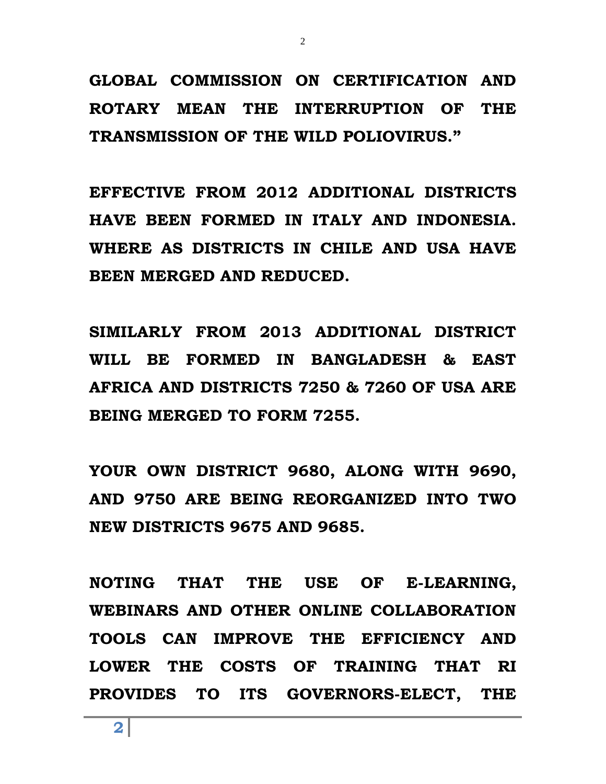**GLOBAL COMMISSION ON CERTIFICATION AND ROTARY MEAN THE INTERRUPTION OF THE TRANSMISSION OF THE WILD POLIOVIRUS."**

**EFFECTIVE FROM 2012 ADDITIONAL DISTRICTS HAVE BEEN FORMED IN ITALY AND INDONESIA. WHERE AS DISTRICTS IN CHILE AND USA HAVE BEEN MERGED AND REDUCED.**

**SIMILARLY FROM 2013 ADDITIONAL DISTRICT WILL BE FORMED IN BANGLADESH & EAST AFRICA AND DISTRICTS 7250 & 7260 OF USA ARE BEING MERGED TO FORM 7255.**

**YOUR OWN DISTRICT 9680, ALONG WITH 9690, AND 9750 ARE BEING REORGANIZED INTO TWO NEW DISTRICTS 9675 AND 9685.**

**NOTING THAT THE USE OF E-LEARNING, WEBINARS AND OTHER ONLINE COLLABORATION TOOLS CAN IMPROVE THE EFFICIENCY AND LOWER THE COSTS OF TRAINING THAT RI PROVIDES TO ITS GOVERNORS-ELECT, THE** 

**2**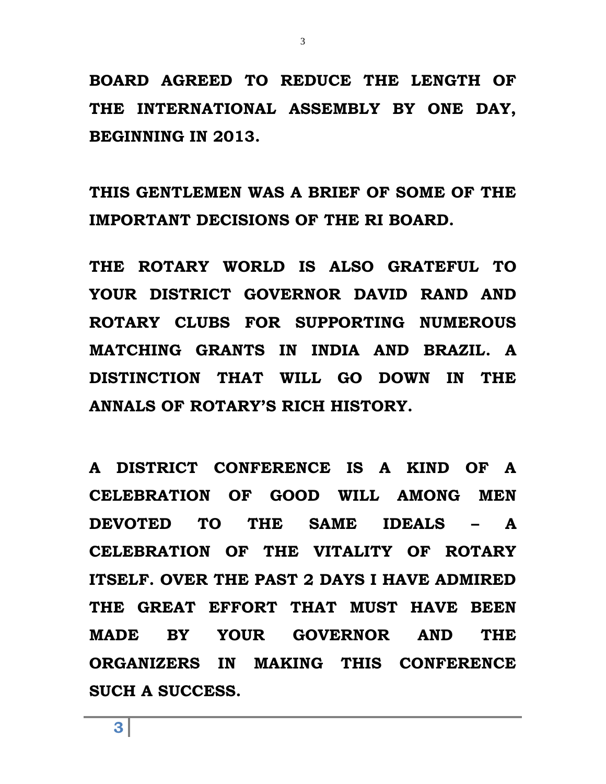**BOARD AGREED TO REDUCE THE LENGTH OF THE INTERNATIONAL ASSEMBLY BY ONE DAY, BEGINNING IN 2013.** 

**THIS GENTLEMEN WAS A BRIEF OF SOME OF THE IMPORTANT DECISIONS OF THE RI BOARD.**

**THE ROTARY WORLD IS ALSO GRATEFUL TO YOUR DISTRICT GOVERNOR DAVID RAND AND ROTARY CLUBS FOR SUPPORTING NUMEROUS MATCHING GRANTS IN INDIA AND BRAZIL. A DISTINCTION THAT WILL GO DOWN IN THE ANNALS OF ROTARY'S RICH HISTORY.**

**A DISTRICT CONFERENCE IS A KIND OF A CELEBRATION OF GOOD WILL AMONG MEN DEVOTED TO THE SAME IDEALS – A CELEBRATION OF THE VITALITY OF ROTARY ITSELF. OVER THE PAST 2 DAYS I HAVE ADMIRED THE GREAT EFFORT THAT MUST HAVE BEEN MADE BY YOUR GOVERNOR AND THE ORGANIZERS IN MAKING THIS CONFERENCE SUCH A SUCCESS.**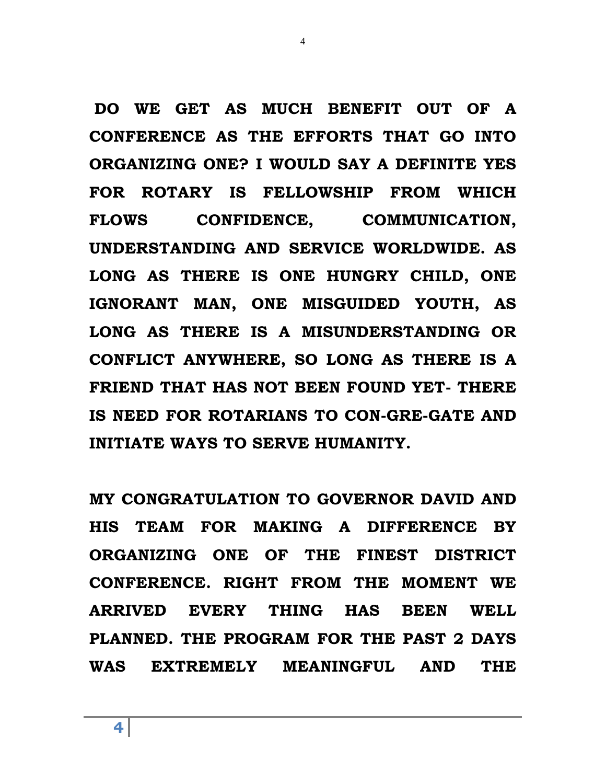**DO WE GET AS MUCH BENEFIT OUT OF A CONFERENCE AS THE EFFORTS THAT GO INTO ORGANIZING ONE? I WOULD SAY A DEFINITE YES FOR ROTARY IS FELLOWSHIP FROM WHICH FLOWS CONFIDENCE, COMMUNICATION, UNDERSTANDING AND SERVICE WORLDWIDE. AS LONG AS THERE IS ONE HUNGRY CHILD, ONE IGNORANT MAN, ONE MISGUIDED YOUTH, AS LONG AS THERE IS A MISUNDERSTANDING OR CONFLICT ANYWHERE, SO LONG AS THERE IS A FRIEND THAT HAS NOT BEEN FOUND YET- THERE IS NEED FOR ROTARIANS TO CON-GRE-GATE AND INITIATE WAYS TO SERVE HUMANITY.**

4

**MY CONGRATULATION TO GOVERNOR DAVID AND HIS TEAM FOR MAKING A DIFFERENCE BY ORGANIZING ONE OF THE FINEST DISTRICT CONFERENCE. RIGHT FROM THE MOMENT WE ARRIVED EVERY THING HAS BEEN WELL PLANNED. THE PROGRAM FOR THE PAST 2 DAYS WAS EXTREMELY MEANINGFUL AND THE**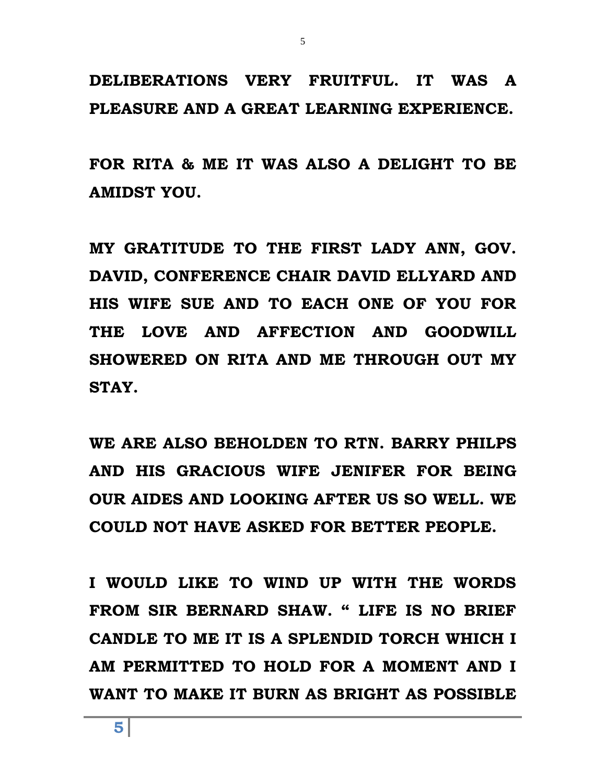## **DELIBERATIONS VERY FRUITFUL. IT WAS A PLEASURE AND A GREAT LEARNING EXPERIENCE.**

5

**FOR RITA & ME IT WAS ALSO A DELIGHT TO BE AMIDST YOU.**

**MY GRATITUDE TO THE FIRST LADY ANN, GOV. DAVID, CONFERENCE CHAIR DAVID ELLYARD AND HIS WIFE SUE AND TO EACH ONE OF YOU FOR THE LOVE AND AFFECTION AND GOODWILL SHOWERED ON RITA AND ME THROUGH OUT MY STAY.**

**WE ARE ALSO BEHOLDEN TO RTN. BARRY PHILPS AND HIS GRACIOUS WIFE JENIFER FOR BEING OUR AIDES AND LOOKING AFTER US SO WELL. WE COULD NOT HAVE ASKED FOR BETTER PEOPLE.**

**I WOULD LIKE TO WIND UP WITH THE WORDS FROM SIR BERNARD SHAW. " LIFE IS NO BRIEF CANDLE TO ME IT IS A SPLENDID TORCH WHICH I AM PERMITTED TO HOLD FOR A MOMENT AND I WANT TO MAKE IT BURN AS BRIGHT AS POSSIBLE**